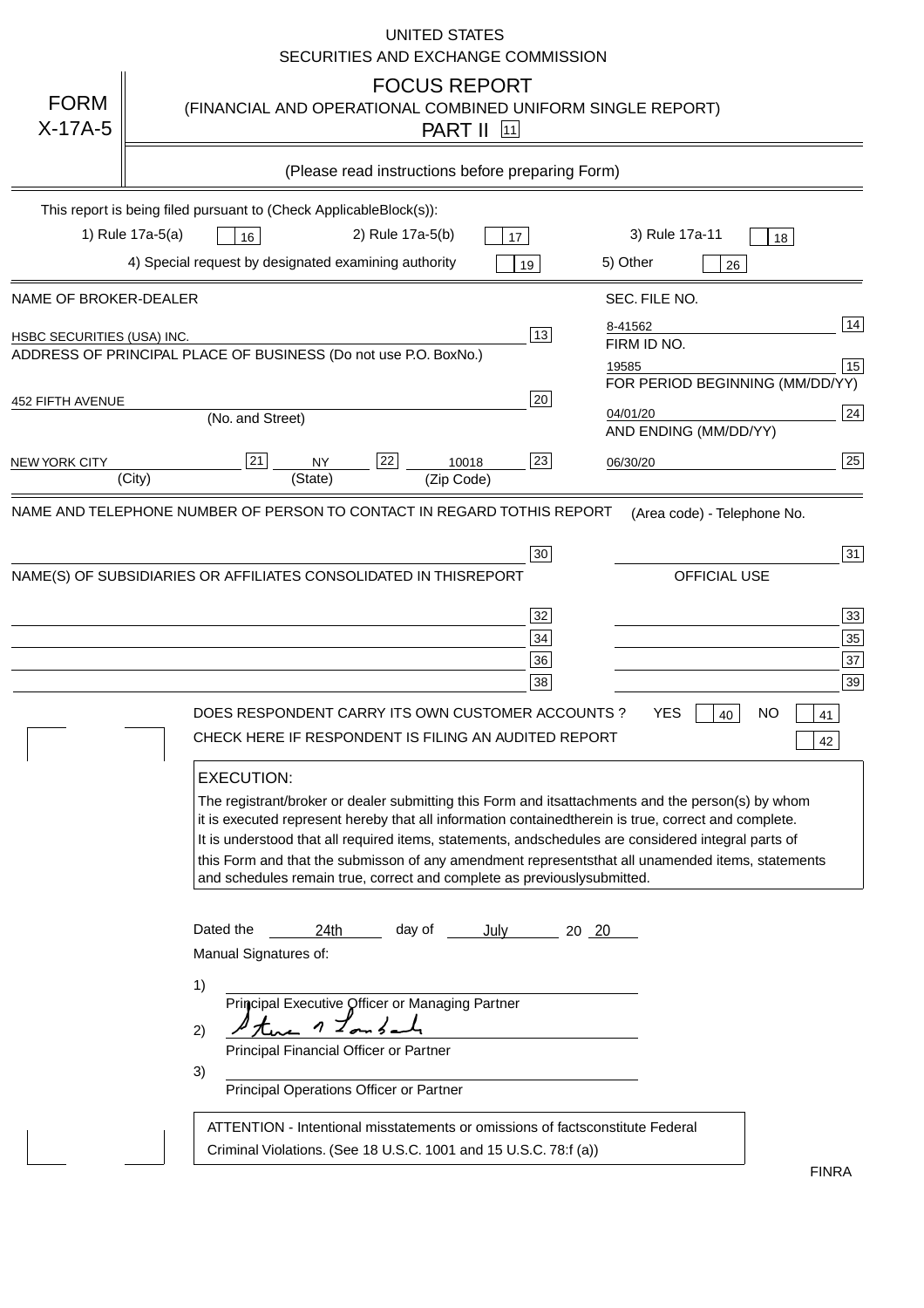|                            | UNITED STATES<br>SECURITIES AND EXCHANGE COMMISSION                                                                                                                                                                                                                                                                                                                                                                                                                                                                                      |
|----------------------------|------------------------------------------------------------------------------------------------------------------------------------------------------------------------------------------------------------------------------------------------------------------------------------------------------------------------------------------------------------------------------------------------------------------------------------------------------------------------------------------------------------------------------------------|
| <b>FORM</b><br>$X-17A-5$   | <b>FOCUS REPORT</b><br>(FINANCIAL AND OPERATIONAL COMBINED UNIFORM SINGLE REPORT)<br><b>PART II</b> [11]                                                                                                                                                                                                                                                                                                                                                                                                                                 |
|                            | (Please read instructions before preparing Form)                                                                                                                                                                                                                                                                                                                                                                                                                                                                                         |
|                            | This report is being filed pursuant to (Check Applicable<br>$Block(s)$ :                                                                                                                                                                                                                                                                                                                                                                                                                                                                 |
|                            | 1) Rule 17a-5(a)<br>3) Rule 17a-11<br>16<br>2) Rule 17a-5(b)<br>17<br>18                                                                                                                                                                                                                                                                                                                                                                                                                                                                 |
|                            | 4) Special request by designated examining authority<br>5) Other<br>19<br>26                                                                                                                                                                                                                                                                                                                                                                                                                                                             |
| NAME OF BROKER-DEALER      | SEC. FILE NO.                                                                                                                                                                                                                                                                                                                                                                                                                                                                                                                            |
| HSBC SECURITIES (USA) INC. | $\overline{14}$<br>8-41562<br>13<br>FIRM ID NO.<br>ADDRESS OF PRINCIPAL PLACE OF BUSINESS (Do not use P.O. Box<br>No.)<br> 15<br>19585                                                                                                                                                                                                                                                                                                                                                                                                   |
| 452 FIFTH AVENUE           | FOR PERIOD BEGINNING (MM/DD/YY)<br>20<br>24<br>04/01/20<br>(No. and Street)                                                                                                                                                                                                                                                                                                                                                                                                                                                              |
| <b>NEW YORK CITY</b>       | AND ENDING (MM/DD/YY)<br>25<br>21<br>22<br>23<br>10018<br><b>NY</b><br>06/30/20                                                                                                                                                                                                                                                                                                                                                                                                                                                          |
|                            | (State)<br>(City)<br>(Zip Code)<br>NAME AND TELEPHONE NUMBER OF PERSON TO CONTACT IN REGARD TO<br>THIS REPORT(Area code) - Telephone No.                                                                                                                                                                                                                                                                                                                                                                                                 |
|                            |                                                                                                                                                                                                                                                                                                                                                                                                                                                                                                                                          |
|                            | 31<br>30<br>OFFICIAL USE<br>NAME(S) OF SUBSIDIARIES OR AFFILIATES CONSOLIDATED IN THIS<br><b>REPORT</b>                                                                                                                                                                                                                                                                                                                                                                                                                                  |
|                            | 33<br>32                                                                                                                                                                                                                                                                                                                                                                                                                                                                                                                                 |
|                            | 35<br>34                                                                                                                                                                                                                                                                                                                                                                                                                                                                                                                                 |
|                            | 37<br>36<br>38<br>39                                                                                                                                                                                                                                                                                                                                                                                                                                                                                                                     |
|                            | DOES RESPONDENT CARRY ITS OWN CUSTOMER ACCOUNTS?<br>YES<br><b>NO</b><br>40<br>41<br>CHECK HERE IF RESPONDENT IS FILING AN AUDITED REPORT<br>42                                                                                                                                                                                                                                                                                                                                                                                           |
|                            | <b>EXECUTION:</b><br>The registrant/broker or dealer submitting this Form and its<br>attachments and the person(s) by whom<br>it is executed represent hereby that all information contained<br>therein is true, correct and complete.<br>It is understood that all required items, statements, and<br>schedules are considered integral parts of<br>this Form and that the submisson of any amendment represents<br>that all unamended items, statements<br>and schedules remain true, correct and complete as previously<br>submitted. |
|                            | Dated the<br>24th<br>day of<br>July<br>$20 \ 20$<br>Manual Signatures of:                                                                                                                                                                                                                                                                                                                                                                                                                                                                |
|                            | 1)<br>Principal Executive Officer or Managing Partner<br>2)<br>Principal Financial Officer or Partner<br>3)<br>Principal Operations Officer or Partner                                                                                                                                                                                                                                                                                                                                                                                   |
|                            | ATTENTION - Intentional misstatements or omissions of facts<br>constitute Federal<br>Criminal Violations. (See 18 U.S.C. 1001 and 15 U.S.C. 78:f (a)<br><b>FINRA</b>                                                                                                                                                                                                                                                                                                                                                                     |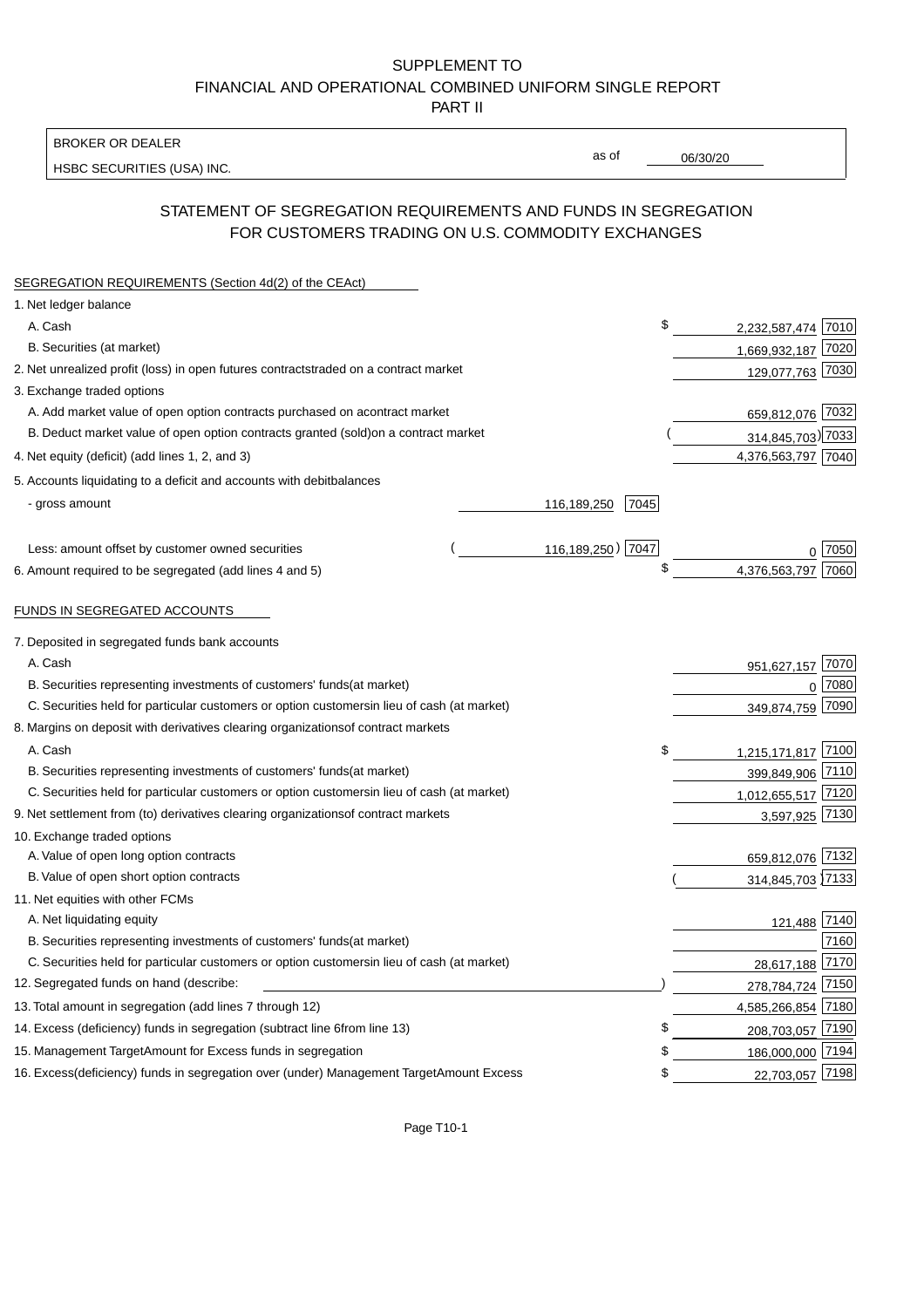### BROKER OR DEALER

HSBC SECURITIES (USA) INC.

06/30/20

as of

# STATEMENT OF SEGREGATION REQUIREMENTS AND FUNDS IN SEGREGATION FOR CUSTOMERS TRADING ON U.S. COMMODITY EXCHANGES

| SEGREGATION REQUIREMENTS (Section 4d(2) of the CEAct)                                          |      |                     |  |
|------------------------------------------------------------------------------------------------|------|---------------------|--|
| 1. Net ledger balance                                                                          |      |                     |  |
| A. Cash                                                                                        | \$   | 2,232,587,474 7010  |  |
| B. Securities (at market)                                                                      |      | 1,669,932,187 7020  |  |
| 2. Net unrealized profit (loss) in open futures contracts<br>traded on a contract market       |      | 129,077,763 7030    |  |
| 3. Exchange traded options                                                                     |      |                     |  |
| A. Add market value of open option contracts purchased on a<br>contract market                 |      | 659,812,076 7032    |  |
| B. Deduct market value of open option contracts granted (sold)<br>on a contract market         |      | 314,845,703) 7033   |  |
| 4. Net equity (deficit) (add lines 1, 2, and 3)                                                |      | 4,376,563,797 7040  |  |
| 5. Accounts liquidating to a deficit and accounts with debit<br>balances                       |      |                     |  |
| - gross amount<br>116,189,250                                                                  | 7045 |                     |  |
| 116,189,250) 7047<br>Less: amount offset by customer owned securities                          |      | ∩  7050             |  |
| 6. Amount required to be segregated (add lines 4 and 5)                                        | \$   | 4,376,563,797 7060  |  |
| FUNDS IN SEGREGATED ACCOUNTS                                                                   |      |                     |  |
| 7. Deposited in segregated funds bank accounts                                                 |      |                     |  |
| A. Cash                                                                                        |      | 7070<br>951,627,157 |  |
| B. Securities representing investments of customers' funds<br>(at market)                      |      | 7080<br>$\Omega$    |  |
| C. Securities held for particular customers or option customers<br>in lieu of cash (at market) |      | 7090<br>349,874,759 |  |
| 8. Margins on deposit with derivatives clearing organizations<br>of contract markets           |      |                     |  |
| A. Cash                                                                                        | \$   | 1,215,171,817 7100  |  |
| B. Securities representing investments of customers' funds<br>(at market)                      |      | 399,849,906 7110    |  |
| C. Securities held for particular customers or option customers<br>in lieu of cash (at market) |      | 1,012,655,517 7120  |  |
| 9. Net settlement from (to) derivatives clearing organizations<br>of contract markets          |      | 3,597,925 7130      |  |
| 10. Exchange traded options                                                                    |      |                     |  |
| A. Value of open long option contracts                                                         |      | 659,812,076 7132    |  |
| B. Value of open short option contracts                                                        |      | 314,845,703 7133    |  |
| 11. Net equities with other FCMs                                                               |      |                     |  |
| A. Net liquidating equity                                                                      |      | 121,488 7140        |  |
| B. Securities representing investments of customers' funds<br>(at market)                      |      | 7160                |  |
| C. Securities held for particular customers or option customers<br>in lieu of cash (at market) |      | 7170<br>28,617,188  |  |
| 12. Segregated funds on hand (describe:                                                        |      | 278,784,724 7150    |  |
| 13. Total amount in segregation (add lines 7 through 12)                                       |      | 4,585,266,854 7180  |  |
| 14. Excess (deficiency) funds in segregation (subtract line 6 from line 13)                    | £    | 208,703,057 7190    |  |
| 15. Management Target Amount for Excess funds in segregation                                   | \$   | 186,000,000 7194    |  |
| 16. Excess (deficiency) funds in segregation over (under) Management Target Amount Excess      | \$   | 22,703,057 7198     |  |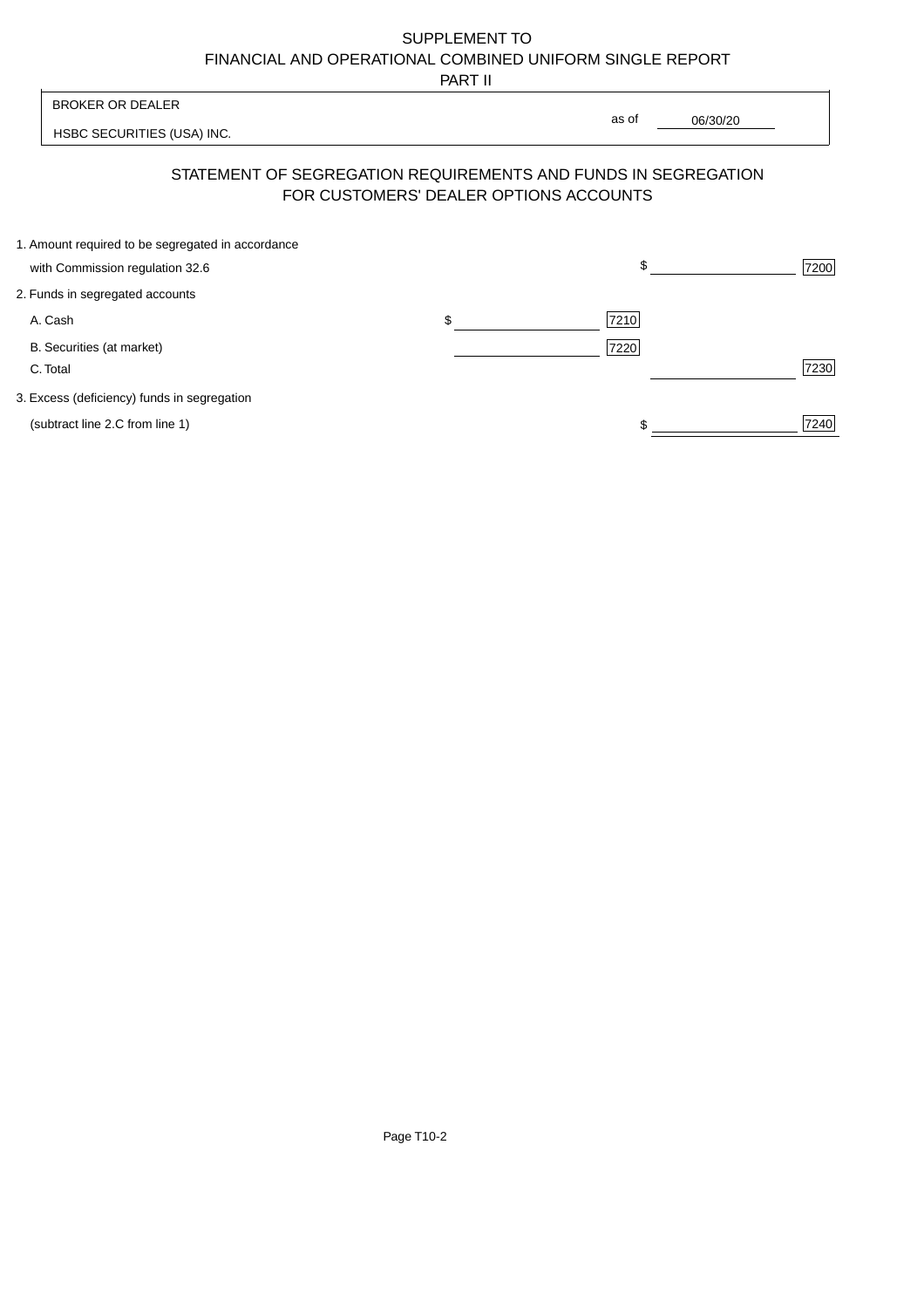PART II

|                                                                                      | 1 AB 11                                                                                                  |       |          |
|--------------------------------------------------------------------------------------|----------------------------------------------------------------------------------------------------------|-------|----------|
| <b>BROKER OR DEALER</b>                                                              |                                                                                                          | as of |          |
| HSBC SECURITIES (USA) INC.                                                           |                                                                                                          |       | 06/30/20 |
|                                                                                      | STATEMENT OF SEGREGATION REQUIREMENTS AND FUNDS IN SEGREGATION<br>FOR CUSTOMERS' DEALER OPTIONS ACCOUNTS |       |          |
| 1. Amount required to be segregated in accordance<br>with Commission regulation 32.6 |                                                                                                          | \$    | 7200     |
| 2. Funds in segregated accounts                                                      |                                                                                                          |       |          |
| A. Cash                                                                              | \$                                                                                                       | 7210  |          |
| B. Securities (at market)<br>C. Total                                                |                                                                                                          | 7220  | 7230     |
| 3. Excess (deficiency) funds in segregation                                          |                                                                                                          |       |          |
| (subtract line 2.C from line 1)                                                      |                                                                                                          |       | 7240     |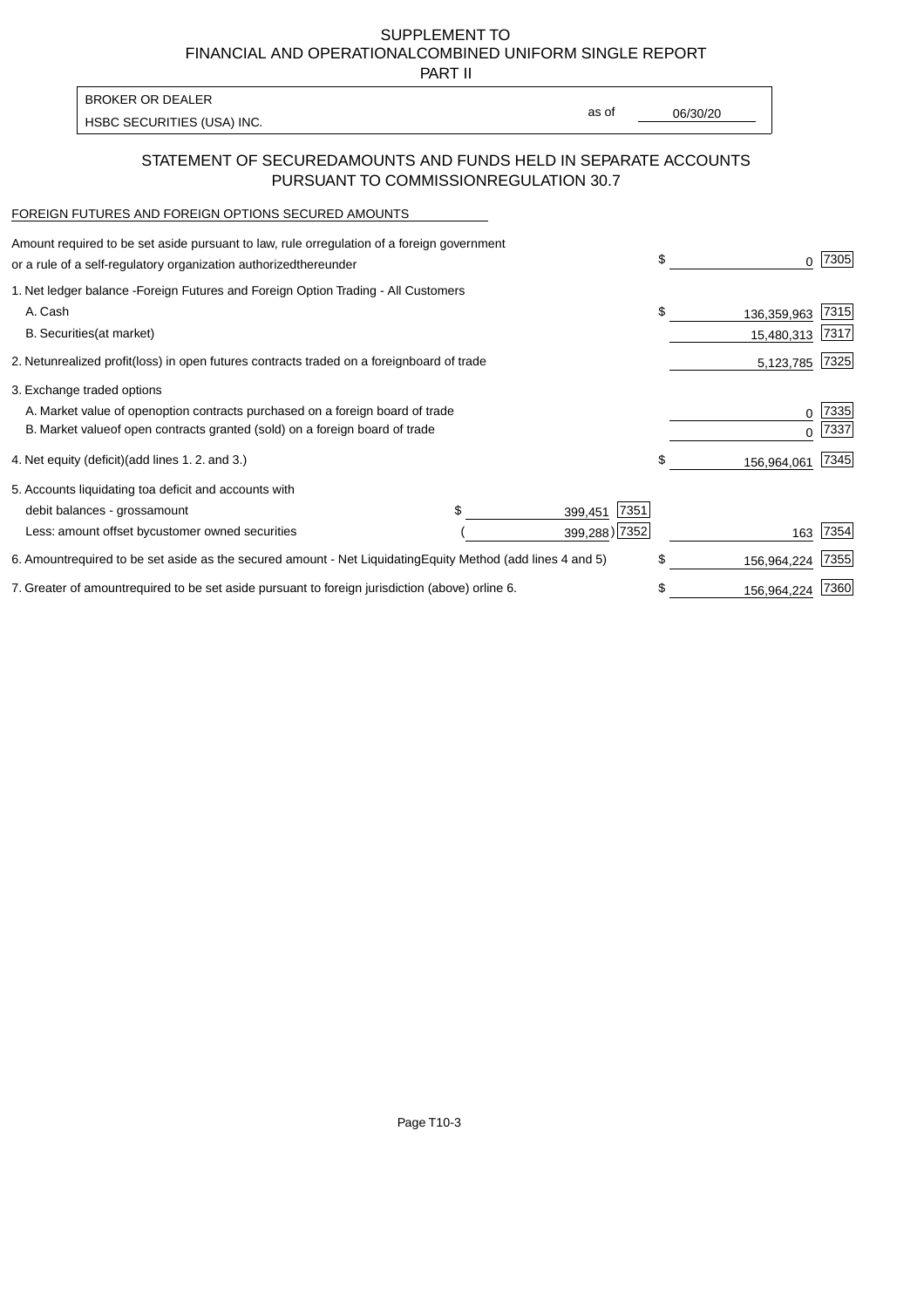PART II

| <b>BROKER OR DEALER</b>    |       |          |
|----------------------------|-------|----------|
|                            | as of | 06/30/20 |
| HSBC SECURITIES (USA) INC. |       |          |

## STATEMENT OF SECURED AMOUNTS AND FUNDS HELD IN SEPARATE ACCOUNTS PURSUANT TO COMMISSION REGULATION 30.7

#### FOREIGN FUTURES AND FOREIGN OPTIONS SECURED AMOUNTS

| regulation of a foreign government<br>Amount required to be set aside pursuant to law, rule or<br>or a rule of a self-regulatory organization authorized<br>thereunder                       | \$ |                           | 7305          |
|----------------------------------------------------------------------------------------------------------------------------------------------------------------------------------------------|----|---------------------------|---------------|
| 1. Net ledger balance - Foreign Futures and Foreign Option Trading - All Customers<br>A. Cash<br><b>B.</b> Securities<br>(at market)                                                         | \$ | 136,359,963<br>15,480,313 | 7315<br> 7317 |
| unrealized profit (loss) in open futures contracts traded on a foreign<br>2. Net<br>board of trade                                                                                           |    | 5,123,785                 | 7325          |
| 3. Exchange traded options<br>A. Market value of open option contracts purchased on a foreign board of trade<br>B. Market value of open contracts granted (sold) on a foreign board of trade |    | $\Omega$                  | 7335<br>7337  |
| (add lines 1.2. and 3.)<br>4. Net equity (deficit)                                                                                                                                           | \$ | 156,964,061               | 7345          |
| 5. Accounts liquidating to<br>a deficit and accounts with<br>7351<br>debit balances - gross<br>amount<br>399,451<br>399,288) 7352<br>Less: amount offset by customer owned securities        |    | 163                       | 7354          |
| 6. Amount required to be set aside as the secured amount - Net Liquidating<br>Equity Method (add lines 4 and 5)                                                                              | \$ | 156,964,224               | 7355          |
| 7. Greater of amount required to be set aside pursuant to foreign jurisdiction (above) or<br>line 6.                                                                                         | S  | 156,964,224               | 7360          |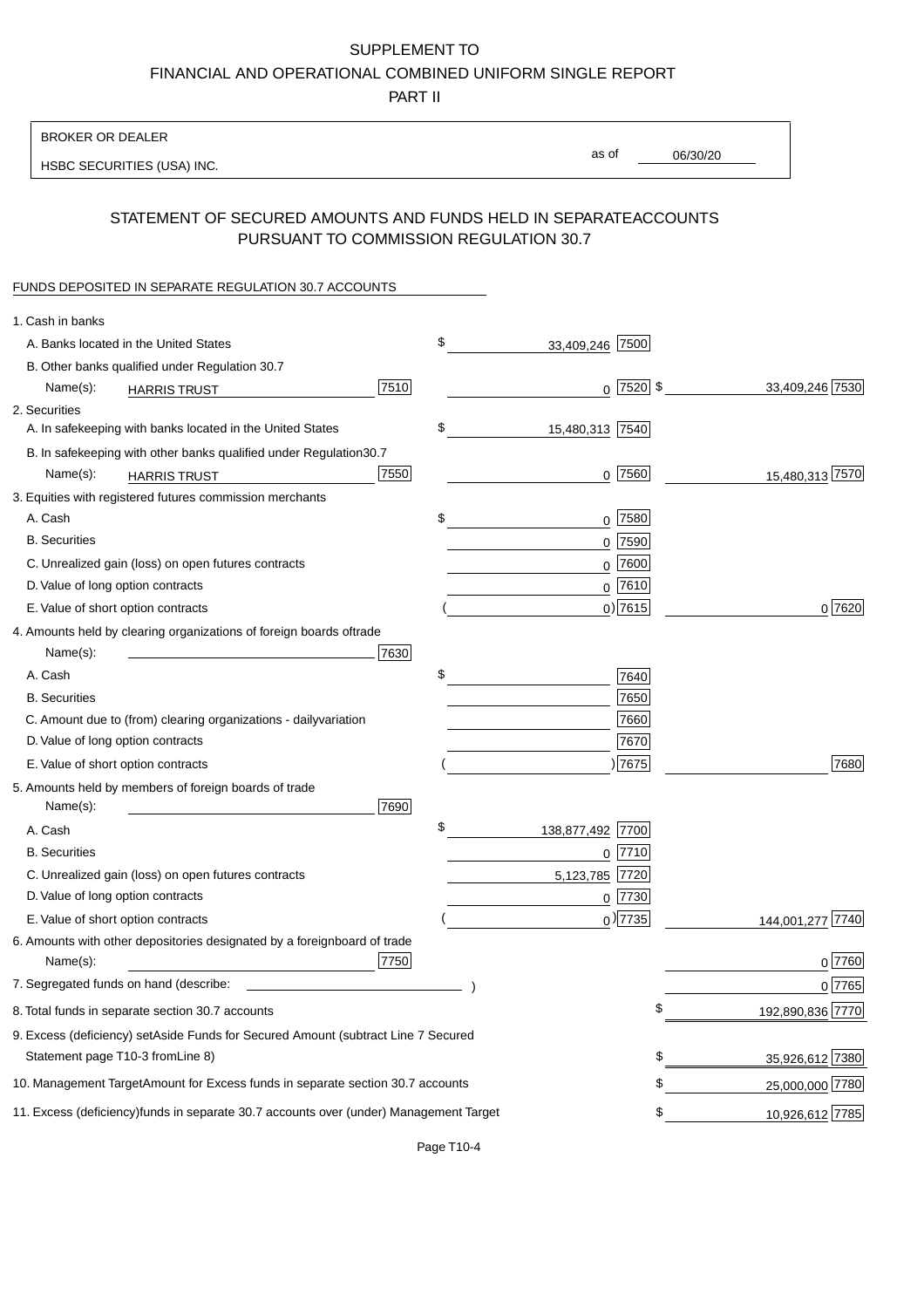PART II

| <b>BROKER OR DEALER</b>                                                                           |                        |                                |
|---------------------------------------------------------------------------------------------------|------------------------|--------------------------------|
| HSBC SECURITIES (USA) INC.                                                                        | as of                  | 06/30/20                       |
|                                                                                                   |                        |                                |
| STATEMENT OF SECURED AMOUNTS AND FUNDS HELD IN SEPARATE<br>PURSUANT TO COMMISSION REGULATION 30.7 |                        | <b>ACCOUNTS</b>                |
| FUNDS DEPOSITED IN SEPARATE REGULATION 30.7 ACCOUNTS                                              |                        |                                |
| 1. Cash in banks                                                                                  |                        |                                |
| A. Banks located in the United States                                                             | \$<br>33,409,246 7500  |                                |
| B. Other banks qualified under Regulation 30.7                                                    |                        |                                |
| 7510<br>Name(s):<br><b>HARRIS TRUST</b>                                                           |                        | $0$ 7520 \$<br>33,409,246 7530 |
| 2. Securities                                                                                     |                        |                                |
| A. In safekeeping with banks located in the United States                                         | \$<br>15,480,313 7540  |                                |
| 30.7<br>B. In safekeeping with other banks qualified under Regulation                             |                        |                                |
| 7550<br>Name(s):<br><b>HARRIS TRUST</b>                                                           |                        | $0$ 7560<br>15,480,313 7570    |
| 3. Equities with registered futures commission merchants                                          |                        |                                |
| A. Cash                                                                                           | \$                     | $0$ 7580                       |
| <b>B.</b> Securities                                                                              |                        | $0$ 7590                       |
| C. Unrealized gain (loss) on open futures contracts                                               | 0                      | 7600                           |
| D. Value of long option contracts                                                                 |                        | $0$ 7610                       |
| E. Value of short option contracts                                                                |                        | $0)$ 7615<br>0 7620            |
| 4. Amounts held by clearing organizations of foreign boards of<br>trade                           |                        |                                |
| Name(s):<br>7630                                                                                  |                        |                                |
| A. Cash                                                                                           | \$                     | 7640                           |
| <b>B.</b> Securities                                                                              |                        | 7650                           |
| C. Amount due to (from) clearing organizations - daily<br>variation                               |                        | 7660                           |
| D. Value of long option contracts                                                                 |                        | 7670                           |
| E. Value of short option contracts                                                                |                        | ) 7675<br>7680                 |
| 5. Amounts held by members of foreign boards of trade<br>Name(s):<br>7690                         |                        |                                |
| A. Cash                                                                                           | \$<br>138,877,492 7700 |                                |
| <b>B.</b> Securities                                                                              | 0                      | 7710                           |
| C. Unrealized gain (loss) on open futures contracts                                               | 5,123,785 7720         |                                |
| D. Value of long option contracts                                                                 |                        | $0$ 7730                       |
| E. Value of short option contracts                                                                |                        | $0$ ) 7735<br>144,001,277 7740 |
| 6. Amounts with other depositories designated by a foreign<br>board of trade<br>7750<br>Name(s):  |                        | 0 7760                         |
| 7. Segregated funds on hand (describe:                                                            |                        | 0 7765                         |
| 8. Total funds in separate section 30.7 accounts                                                  |                        | \$<br>192,890,836 7770         |
| 9. Excess (deficiency) set Aside Funds for Secured Amount (subtract Line 7 Secured                |                        |                                |
| Statement page T10-3 from Line 8)                                                                 |                        | \$<br>35,926,612 7380          |
| 10. Management Target Amount for Excess funds in separate section 30.7 accounts                   |                        | \$<br>25,000,000 7780          |
| 11. Excess (deficiency) funds in separate 30.7 accounts over (under) Management Target            |                        | \$<br>10,926,612 7785          |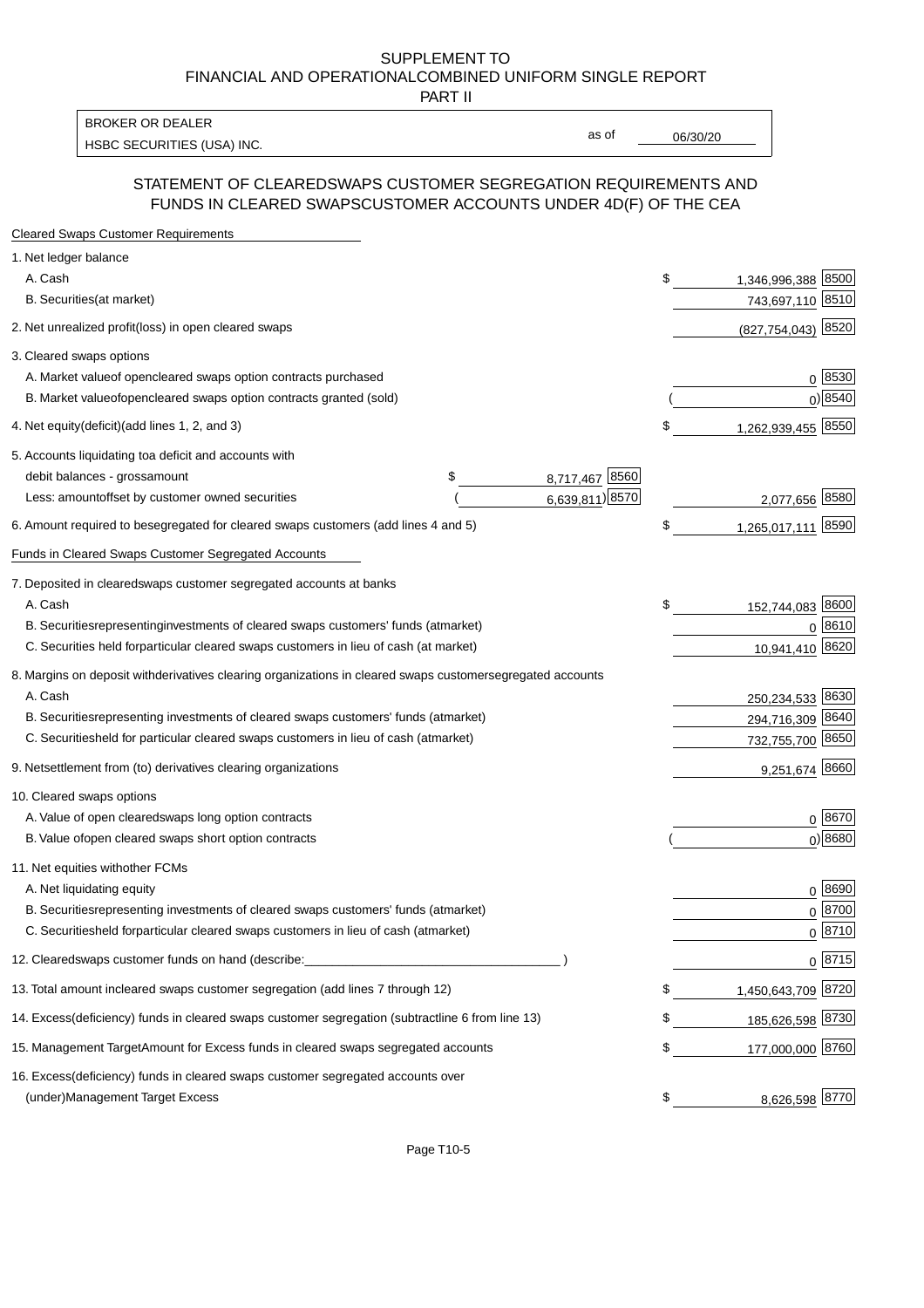PART II

HSBC SECURITIES (USA) INC. The contract of the contract of the contract of the contract of the contract of the contract of the contract of the contract of the contract of the contract of the contract of the contract of the BROKER OR DEALER

as of

#### STATEMENT OF CLEARED SWAPS CUSTOMER SEGREGATION REQUIREMENTS AND FUNDS IN CLEARED SWAPS CUSTOMER ACCOUNTS UNDER 4D(F) OF THE CEA

| <b>Cleared Swaps Customer Requirements</b>                                                                  |    |                     |
|-------------------------------------------------------------------------------------------------------------|----|---------------------|
| 1. Net ledger balance                                                                                       |    |                     |
| A. Cash                                                                                                     | \$ | 1,346,996,388 8500  |
| B. Securities (at market)                                                                                   |    | 743,697,110 8510    |
| 2. Net unrealized profit (loss) in open cleared swaps                                                       |    | (827,754,043) 8520  |
| 3. Cleared swaps options                                                                                    |    |                     |
| A. Market value of open cleared swaps option contracts purchased                                            |    | 0   8530            |
| B. Market value of open cleared swaps option contracts granted (sold)                                       |    | $0)$ 8540           |
| 4. Net equity (deficit) (add lines 1, 2, and 3)                                                             | \$ | 1,262,939,455 8550  |
| 5. Accounts liquidating to a deficit and accounts with                                                      |    |                     |
| 8,717,467 8560<br>debit balances - gross<br>\$<br>amount                                                    |    |                     |
| 6,639,811) 8570<br>Less: amount offset by customer owned securities                                         |    | 2,077,656 8580      |
| 6. Amount required to be segregated for cleared swaps customers (add lines 4 and 5)                         | S  | 1,265,017,111 8590  |
| Funds in Cleared Swaps Customer Segregated Accounts                                                         |    |                     |
| 7. Deposited in cleared swaps customer segregated accounts at banks                                         |    |                     |
| A. Cash                                                                                                     | \$ | 152,744,083 8600    |
| B. Securities representing investments of cleared swaps customers' funds (at market)                        |    | $0^{8610}$          |
| C. Securities held for particular cleared swaps customers in lieu of cash (at market)                       |    | 10,941,410 8620     |
| 8. Margins on deposit with derivatives clearing organizations in cleared swaps customer segregated accounts |    |                     |
| A. Cash                                                                                                     |    | 250,234,533 8630    |
| representing investments of cleared swaps customers' funds (at market)<br><b>B.</b> Securities              |    | 8640<br>294,716,309 |
| C. Securities held for particular cleared swaps customers in lieu of cash (at market)                       |    | 732,755,700 8650    |
| 9. Net settlement from (to) derivatives clearing organizations                                              |    | 9,251,674 8660      |
| 10. Cleared swaps options                                                                                   |    |                     |
| A. Value of open cleared swaps long option contracts                                                        |    | $0^{8670}$          |
| B. Value of open cleared swaps short option contracts                                                       |    | $0$ ) 8680          |
| 11. Net equities with other FCMs                                                                            |    |                     |
| A. Net liquidating equity                                                                                   |    | $0^{8690}$          |
| B. Securities representing investments of cleared swaps customers' funds (at market)                        |    | $0^{8700}$          |
| C. Securities held for particular cleared swaps customers in lieu of cash (at market)                       |    | 0 8710              |
| 12. Cleared swaps customer funds on hand (describe:                                                         |    | $0 \;  8715 $       |
| 13. Total amount in cleared swaps customer segregation (add lines 7 through 12)                             | S  | 1,450,643,709 8720  |
| 14. Excess (deficiency) funds in cleared swaps customer segregation (subtract line 6 from line 13)          |    | 185,626,598 8730    |
| 15. Management Target Amount for Excess funds in cleared swaps segregated accounts                          | \$ | 177,000,000 8760    |
| 16. Excess<br>(deficiency) funds in cleared swaps customer segregated accounts over                         |    |                     |
| <b>Management Target Excess</b><br>(under)                                                                  | \$ | 8,626,598 8770      |